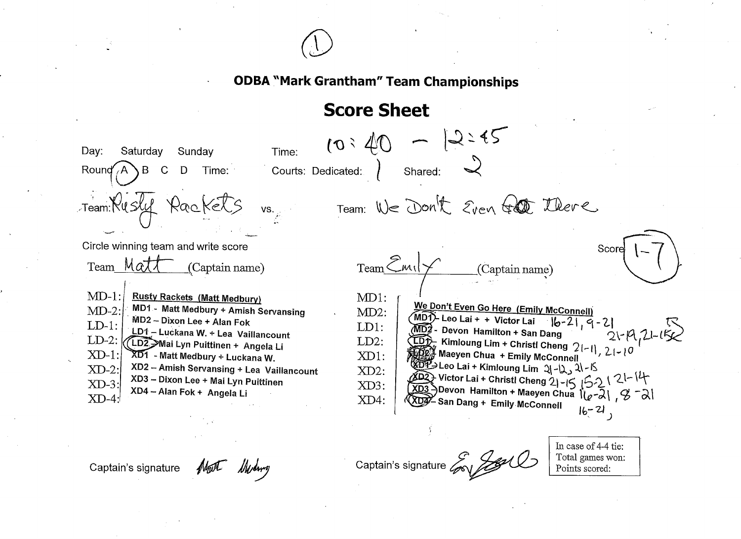

## **Score Sheet**

 $10:40 - 12:45$ Sunday Time: Day: Saturday Shared: Courts: Dedicated: Round  $A \ B$  C D Time: Team: Rusly Rackels Team: We Don't Even for there  $\mathsf{VS}, \mathsf{C}$ Circle winning team and write score Score  $TeamEml \times$ Team Matt (Captain name)  $\Box$ (Captain name)  $MD-1$ : **Rusty Rackets (Matt Medbury)**  $MD1:$ We Don't Even Go Here (Emily McConnell) MD1 - Matt Medbury + Amish Servansing  $MD-2$ :  $MD2$ :  $(MD)$ - Leo Lai + + Victor Lai  $|b-2|$ , 9 - 2 MD2 - Dixon Lee + Alan Fok  $LD-1$ :  $LD1:$ MD2 - Devon Hamilton + San Dang LD1 - Luckana W. + Lea Vaillancount KIDD Kimloung Lim + Christl Cheng 21-11, 21-10  $LD-2$ :  $LD2:$ *(LD2, >*Mai Lyn Puittinen + Angela Li 新解 Maeyen Chua +Emily McConnell  $XD-1$ : XD1 - Matt Medbury + Luckana W.  $XD1$ :  $(302) \text{ Leeo Lai + Kimloung Lim } 2\left(-12, 21 - 15\right)$ <br>  $(402) \text{ Victor Lai + Christl Cheng } 2\left(-15, 15\right) \left(-21 - 14\right)$ <br>  $(303) \text{Devon Hamilton + Maeyen Chua } \left(\frac{1}{e^{-2}}\right), \frac{9}{e^{-2}}$ XD2 - Amish Servansing + Lea Vaillancount  $XD-2$ : XD2: XD3 - Dixon Lee + Mai Lyn Puittinen  $XD-3$ XD3: XD4 - Alan Fok + Angela Li XDA San Dang + Emily McConnell  $XD-4$ XD4:  $16 - 21,$ 

Captain's signature Mart Mylong

Captain's signature Covert

In case of 4-4 tie: Total games won: Points scored: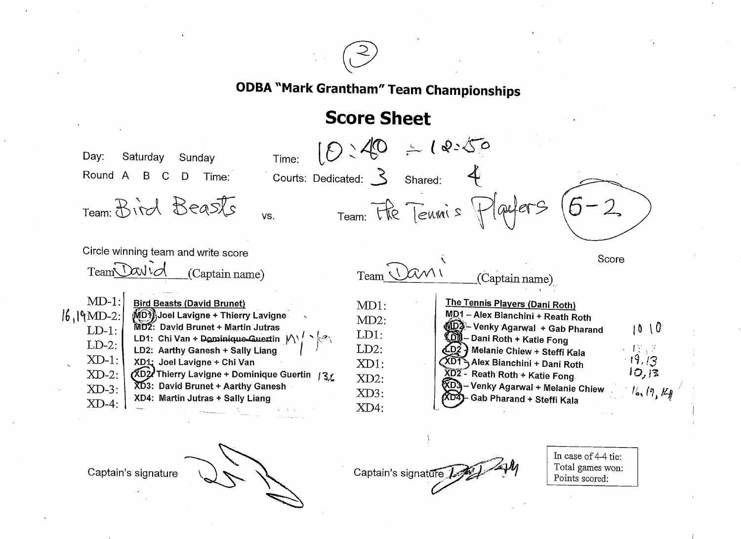

## Score Sheet



Captain's signature

Captain's signature  $E_{\text{max}}$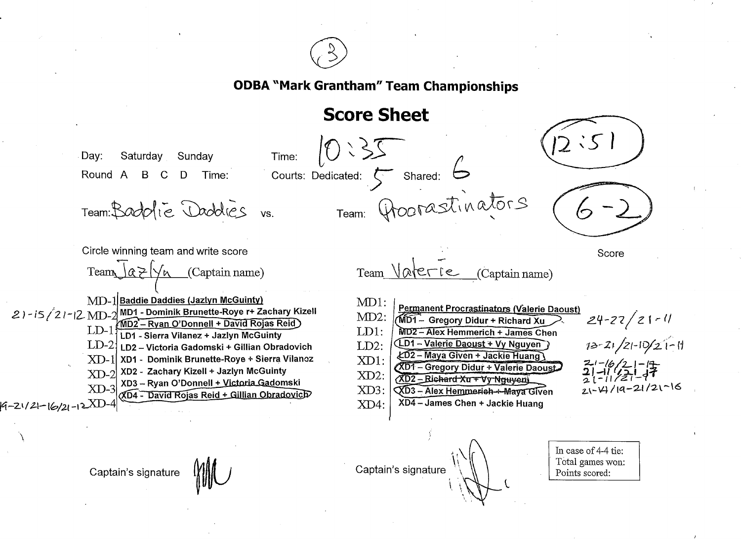

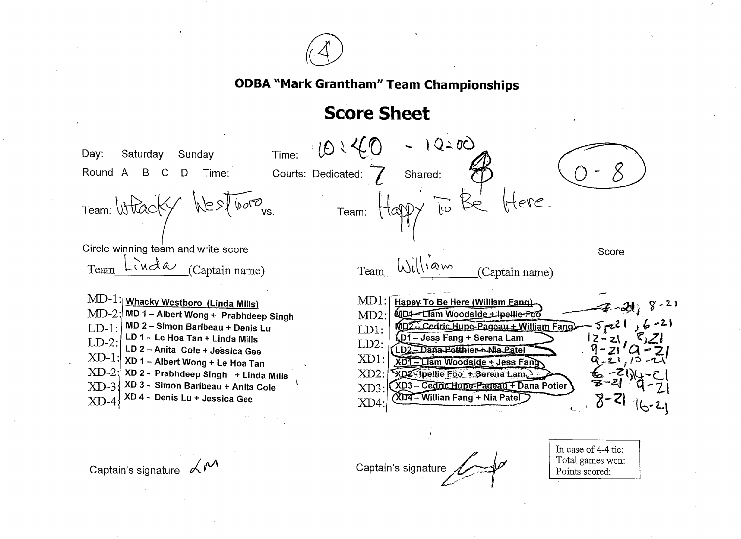

## Score Sheet

 $1Q - 0Q$  $101$ Time: Day: Saturday Sunday Round A B C D Time: Courts: Dedicated: Shared: Team: Wtk  $\widetilde{|\circ}$ Team: Circle winning team and write score Score  $\text{Team } \text{Willvaw}$  (Captain name)  $Team$  Linda (Captain name) MD- $1$ : $\mid$ <u>Whacky Westboro (</u>Linda Mills)  $MD1:$ Happy To Be Here (William Eang). MD-2: MD 1 – Albert Wong + Prabhdeep Singh MD4-Liam Woodside + Ipellie-Foo  $MD2$ : MD 2 -Simon Baribeau + Denis Lu  $5 - 21$ MD2 - Cedric Hupe-Pageau + William Fang)  $LD-1:$  $LD1:$ LD 1 - Le Hoa Tan + Linda mills LD1-Jess Fang + Serena Lam LD-2  $LD2:$ LD 2 -Anita Cole + Jessica Gee LD2 \_Dana Potthier + Nia Patel  $\text{XD-1:}$  XD 1 - Albert Wong + Le Hoa Tan  $XD1$ : XD1 - Liam Woodside + Jess Fang  $2\cdot$  $XD-2$ : XD 2 - Prabhdeep Singh + Linda Mills  $XD2$ : XD2 Ipellie Foo + Serena Lam. XD 3 \* Simon Bariheau + Anjta Cole XD3 - Cedric Hupe-Pageau + Dana Potier  $XD-3!$  $XD3:$ XD4 - Willian Fang + Nia Patel XD 4 - Denis Lu + Jessica Gee  $XD-4$ XD4:

Captain's signatu

Captain's signature  $\mathcal{M}^{\mathcal{M}}$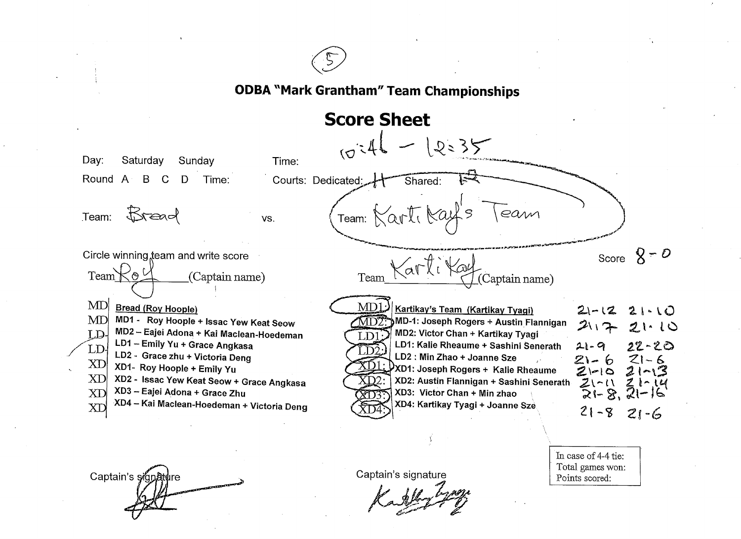

# **Score Sheet**



Captain's signature

Captain's signature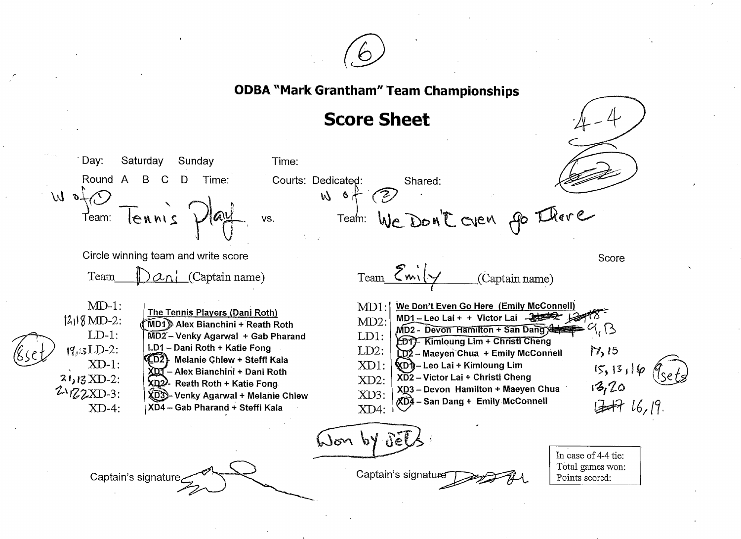

Saturday Sunday Time: Day: Round A B  $\mathbf C$ D Time: Courts: Dedicated: Shared:  $O$  for  $W$  $W_0$  of (2) Team: We Don't Oven po There Tennis Team: VS. Circle winning team and write score Score  $Team \mathcal{E}_{mix}$ Team  $\alpha_{\Lambda}$  (Captain name) (Captain name)  $MD-1$ :  $MD1:$ We Don't Even Go Here (Emily McConnell) The Tennis Players (Dani Roth) MD1-Leo Lai + + Victor Lai  $\rightarrow$  $|2_1|$  8 MD-2:  $MD2$ MD1) Alex Bianchini + Reath Roth  $\Lambda$ MD2 - Devon Hamilton + San Dang)  $LD-1$ :  $MD2$  – Venky Agarwal + Gab Pharand LD1: **ED1F** Kimloung Lim + Christi Cheng  $19/3LD-2$ : LD1 - Dani Roth + Katie Fong  $17,15$  $LD2:$ LD2 - Maeyen Chua + Emily McConnell CD2} Melanie Chiew + Steffi Kala  $XD-1$ : XD1: ั⁄��Dr}ิ – Leo Lai + Kimloung Lim  $15, 13, 16$ XDJ - Alex Bianchini + Dani Roth XD2 - Victor Lai + Christl Cheng  $21,13$  XD-2:  $XD2$ : XD<sub>2</sub>2. Reath Roth + Katie Fong  $13,20$ XD3 - Devon Hamilton + Maeyen Chua  $2\sqrt{22}$ XD-3: XD3: XD3> Venky Agarwal + Melanie Chiew **XDA** - San Dang + Emily McConnell B# 16,19.  $XD-4$ : XD4 - Gab Pharand + Steffi Kala XD4: Won by de In case of 4-4 tie: Total games won: Captain's signature Captain's signature Points scored: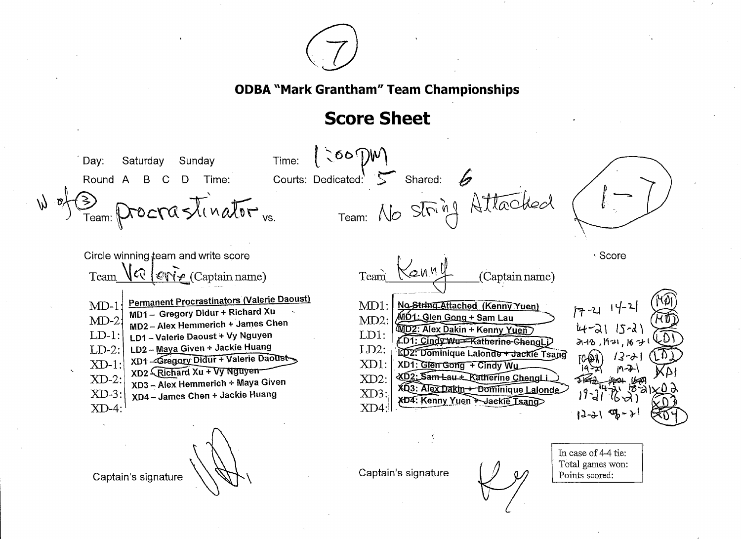

 $| \cosh \theta$ Time: Sunday Day: Saturday Courts: Dedicated:  $5$  Shared: 6  $\mathcal{C}$ D Time: Round A B Team: No String Attached  $\sum_{\text{Team:} \text{Proc}ra\text{-}limator}$ Circle winning team and write score √ Score Team  $\sqrt{Q}$   $\exp(\rho_0(\text{Captain name}))$ Team (Captain name) **Permanent Procrastinators (Valerie Daoust)**  $MD-1$ No String Attached (Kenny Yuen)  $MD1:$ MD1- Gregory Didur + Richard Xu MD1: Glen Gong + Sam Lau  $MD2$ :  $MD-2$ : MD2 - Alex Hemmerich + James Chen MD2: Alex Dakin + Kenny Yuen  $LD1:$  $LD-1$ : LD1 - Valerie Daoust + Vy Nguyen LD1: Cindy Wu-F-Katherine-GhengLj  $313,197,167$ LD2 - Maya Given + Jackie Huang  $LD2$ :  $LD-2$ : LD2: Dominique Lalonde + Jackie Tsane XD1 -Gregory Didur + Valerie Daoust  $XD-1$ :  $XD1$ : XD1: Glen Gong + Cindy Wy XD2 Richard Xu + Vy Nguyen XD2: Sam-Lau + Katherine ChengLi  $XD-2$ :  $XD2$ : XD3 - Alex Hemmerich + Maya Given XD3: Alex Dakin + Dominique Lalonde  $XD-3$ : XD4 - James Chen + Jackie Huang  $XD3$ XD4: Kenny Yuen + Jackie Tsang  $XD-4$ :  $XD4$ : In case of 4-4 tie: Total games won: Captain's signature Captain's signature Points scored: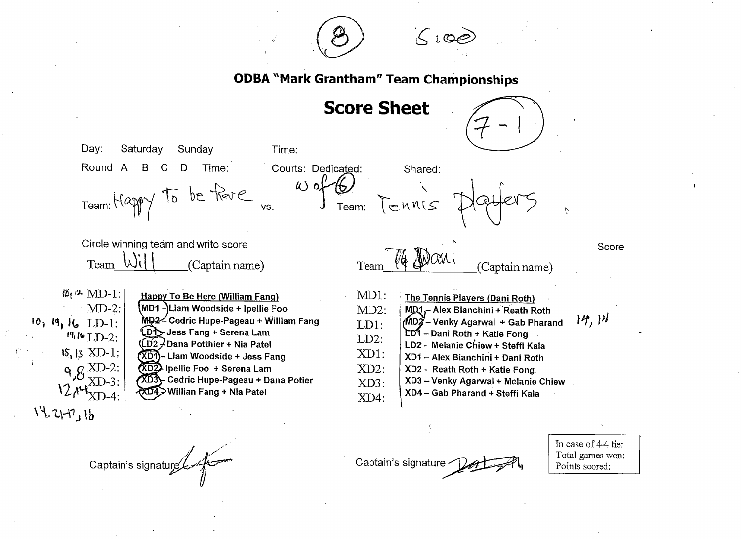

**Score Sheet** 



Day: Saturday Sunday Time: Round A Time: Courts: Dedicated: Shared: B. D.  $W$  of  $6$ Team: Happy to be fore Team: Tennis VS.  $\mathcal{L}$ Circle winning team and write score Score Team Wil (Captain name) Team (Captain name)  $\mathbb{Z}_1 \times \text{MD-1}$ :  $MD1:$ **Happy To Be Here (William Fang)** The Tennis Players (Dani Roth)  $MD-2$ : (MD1-)Liam Woodside + Ipellie Foo  $MD2$ : MD1,- Alex Bianchini + Reath Roth MD2 Cedric Hupe-Pageau + William Fang  $14, 1$  $10, 19, 16$  LD-1:  $M$ D $\tilde{Z}$  – Venky Agarwal + Gab Pharand  $LD1:$ LDT Jess Fang + Serena Lam LD1 - Dani Roth + Katie Fong  $19.16$  LD-2:  $LD2:$  $(D2)$  Dana Potthier + Nia Patel LD2 - Melanie Chiew + Steffi Kala  $15, 13$  XD-1: XD1: (XD1)-Liam Woodside + Jess Fang XD1 - Alex Bianchini + Dani Roth  $9.8 \frac{\text{XD-2:}}{\text{xyz}}$ **XD2** Ipellie Foo + Serena Lam  $XD2$ : XD2 - Reath Roth + Katie Fong.  $XD-3$ : XD3 Cedric Hupe-Pageau + Dana Potier XD3 - Venky Agarwal + Melanie Chiew  $XD3$ :  $12.147$   $\times$  D-4: XD4>Willian Fang + Nia Patel XD4 - Gab Pharand + Steffi Kala  $XD4$ :  $14217,16$ 

Captain's signature

Captain's signature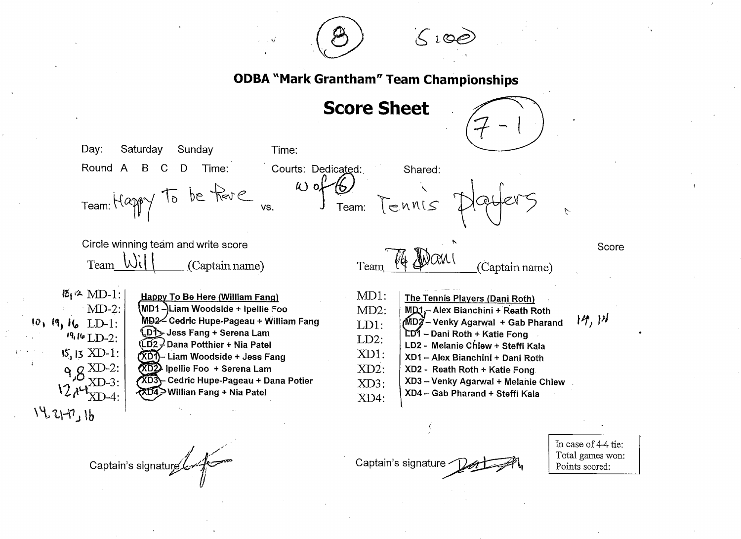

Score Sheet



Day: Saturday Sunday Time: Round A B C D Time: Courts: Dedicated: Shared:  $\omega$  of  $\omega$ Team: Happy To be flore us. Woftbl Team: TENNIS  $\mathcal{L}$ Circle winning team and write score Score Team  $\overline{\text{Wil}}$  (Captain name) Team (Captain name)  $\mathbb{Z}_1$   $\sim$  MD-1: MD1: Happy To Be Here (William Fang) **The Tennis Players (Dani Roth)**  $MD-2$ : Liam Woodside + lpe]lie Foo MD2: MD1,- Alex Bianchini + Reath Roth  $\uparrow$   $\downarrow$   $\uparrow$   $\uparrow$   $\uparrow$ Cedric Hupe-Pageau + William Fang MD2-Venky Agarwal + Gab Pharand  $10, 19, 16$  LD-1: LD1: LDT Jess Fang + Serena Lam LD1 - Dani Roth + Katie Fong  $19.16$  LD-2: LD2:  $(D2)^2$  Dana Potthier + Nia Patel LD2 - Melanie Chlew + Steffi Kala  $15$ ,  $15$  XD-1; XD1:  $({\overline{X}}{\overline{D}}\overline{T})$  - Liam Woodside + Jess Fang XD1 - Alex Bianchini + Dani Roth  $\frac{1}{8}$   $g \frac{\text{XD-2}}{\text{xp}^2}$  $(XD2)$  Ipellie Foo + Serena Lam XD2: XD2 - Reath Roth + Katie Fong  $XD-3$ : Cedric Hupe-Pageau + Dana Potier XD3 - Venky Agarwal + Melanie Chiew XD3:  $12.14$ William Fang + Nia Patel XD4 -Gab Pharand + Steffi Kala  $X<sub>D-4</sub>$ XD4:  $1421 - 16$ 

Captain's signature

Captain's signature

In case of 4-4 tie: Total ganes won: Points scored: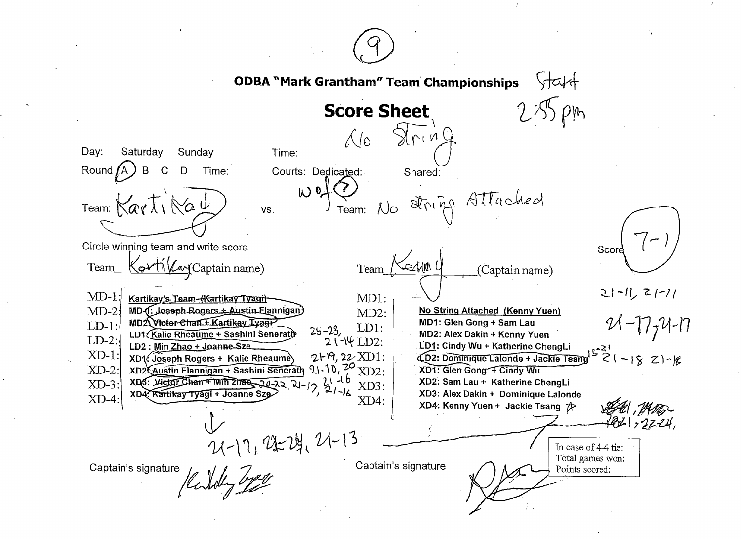$\sqrt{1}$ **ODBA "Mark Grantham" Team Championships**  $\rho_{m}$ **Score Sheet**  $\sqrt{x_1n}$  $\bigwedge$ Day: Saturday Sunday Time: Round  $(A)$ B  $\mathcal{C}$ Courts: Dedicated: D Time: Shared: Wot Team: No String Attached Team: Karti Nau VS. Circle winning team and write score Score <u>Sarti (Larg</u> Captain name) Kerjun ( Team Team (Captain name)  $21 - 11, 21 - 11$  $MD-1$ : Kartikay's Team-(Kartikay Tyagi) MD1: No String Attached (Kenny Yuen)  $MD-2$ MD-1. Joseph-Rogers + Austin Elannigan  $MD2$ :  $21 - 17, 24 - 17$ MD2 Victor-Chan + Kartikay Tyagi-MD1: Glen Gong + Sam Lau  $LD-1$ : LD1:  $25 - 23$ LD1 (Kalie Rheaume + Sashini Senerath MD2: Alex Dakin + Kenny Yuen  $LD-2$ :  $2\sqrt{-14}$  LD2: LD2: Min Zhao + Joanne-Sze. LD1: Cindy Wu + Katherine ChengLi  $1521$ <br> $521 - 1821 - 18$  $XD-1$ :  $2H9, 22-XD1$ : XD1. Joseph Rogers + Kalie Rheaume 4D2: Dominique Lalonde + Jackie Tsane XD2 Austin Flannigan + Sashini Senerath  $2\left\{1\right\}$ ,  $2\sigma$  XD2. XD1: Glen Gong + Cindy Wu  $XD-2$ : XDS: Victor Chan + Willi 21730 20-22, 21-12, 21-16<br>XD4: Kartikay Tvagi + Joanne Sze XD2: Sam Lau + Katherine ChengLi  $XD-3$ XD3: XD4 Kartikay Tyagi + Joanne S XD3: Alex Dakin + Dominique Lalonde  $XD-4$  $XD4:$ XD4: Kenny Yuen + Jackie Tsang 2>  $( -17, 22, 24, 21 - 13)$ In case of 4-4 tie: Total games won: Captain's signature Captain's signature Karlotty Lyon Points scored: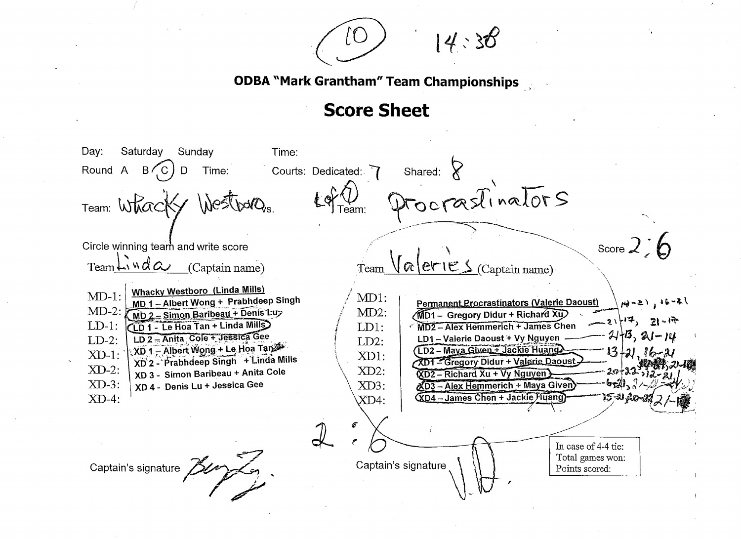$14:38$ 

Day: Saturday Time: Sunday Shared:  $8$ Round A  $B(C)$  D Courts: Dedicated: 7 Time: Procrastinators Westbards. Team: Whac Score  $2:6$ Circle winning team and write score  $\sqrt{\alpha}$  eries  $_{\text{Captain name}}$  $TeamLiud\alpha$ (Captain name) Team **Whacky Westboro (Linda Mills)**  $MD-1$ : MD1: MD 1-Albert Wong + Prabhdeep Singh **Permanent Procrastinators (Valerie Daoust)**  $\mu_{0}$  -2),  $16 - 2$  $MD-2$ : MD 2 - Simon Baribeau + Denis Luz  $MD2$ : MD1 - Gregory Didur + Richard Xu  $-2114$ ,  $2114$ (LD 1 - Le Hoa Tan + Linda Mills)  $LD-1$ : MD2 - Alex Hemmerich + James Chen  $LD1:$  $21+13$ ,  $21-14$  $LD2 = Antita$  Cole + Jessica Gee LD1 - Valerie Daoust + Vy Nguyen  $LD-2$ :  $LD2:$ XD 1 – Albert Wong ÷ Le Hoa Tan LD2 - Maya Given + Jackie Huang  $13 + 21$   $16 XD-1$ : XD1: XD 2 - Prabhdeep Singh + Linda Mills XD1 - Gregory Didur + Valerie Daoust  $XD-2$ : XD 3 - Simon Baribeau + Anita Cole XD2: **KD2-Richard Xu + Vy Nguyen**  $XD-3$ : XD 4 - Denis Lu + Jessica Gee  $XD3$ :  $XD3 - Alex$  Hemmerich + Maya Given XD4 - James Chen + Jackie Muang  $XD-4$ :  $X\mathbf{D}4$ : In case of 4-4 tie: Total games won: Captain's signature Captain's signature Points scored: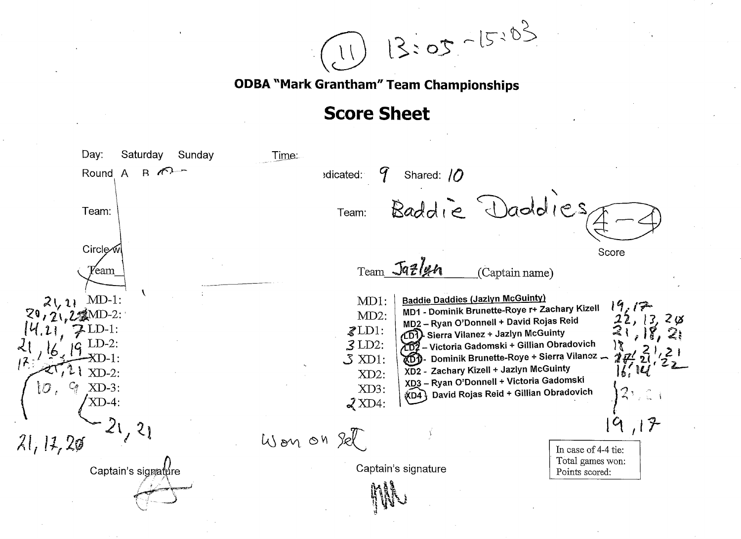$13:05 - 15:03$ 

Day: Saturday Sunday Time: Round  $\overline{A}$ 9  $B$   $\pi$ <sup>3</sup> Shared: // edicated: Baddie Daddies Team: Team: Circle∕w Score Team Jazlun Yeam (Captain name) **Baddie Daddies (Jazlyn McGuinty)**  $MD-1$ : MD1:  $2(1)$  $19.17$ MD1 - Dominik Brunette-Roye r+ Zachary Kizell  $MD2$ :  $\frac{22}{3}$ ,  $\frac{13}{18}$ ,  $2\,\mathrm{\varnothing}$ MD2 - Ryan O'Donnell + David Rojas Reid  $\mathcal{Z}$ LD1: (LD1) Sierra Vilanez + Jazlyn McGuinty LD7 - Victoria Gadomski + Gillian Obradovich  $3LD2$ : DD- Dominik Brunette-Roye + Sierra Vilancz - $\mathcal{S}$  XD1: XD2 - Zachary Kizell + Jazlyn McGuinty  $\vert f' \vert$  $XD-2:$  $XD2$ : XD3 - Ryan O'Donnell + Victoria Gadomski  $1\sigma$  ,  $\mathcal{G}$  XD-3: XD3: David Rojas Reid + Gillian Obradovich  $XDA<sup>1</sup>$  $\mathcal{J}$  XD4:  $21, 21$  $19,17$ Won on Sel  $21, 12, 20$ In case of 4-4 tie: Total games won: Captain's signature Captain's signature Points scored: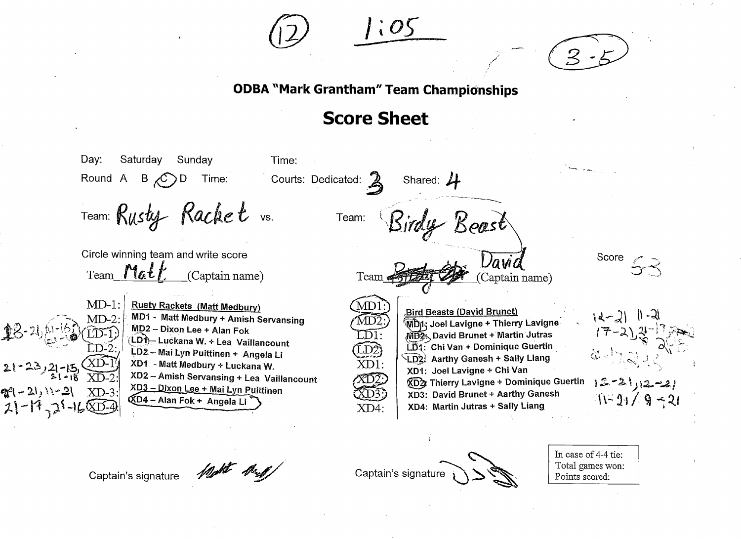



# **Score Sheet**

Day: Saturday Sunday Time: Time: Courts: Dedicated:  $\sum_{n=1}^{\infty}$ Shared:  $4$ Round A B  $\langle C \rangle$ D Team: Rusty Racket vs. Team: Kirdy Keast Circle winning team and write score Score Vavia  $Team$  Math (Captain name) (Captain name) Team  $\neq$  $MD-1$ : **Rusty Rackets (Matt Medbury)** MD **Bird Beasts (David Brunet)** MD1 - Matt Medbury + Amish Servansing  $\{d-2\}$  | <sup>(</sup>MDn: Joel Lavigne + Thierry Lavigne MD2-Dixon Lee + Alan Fok MD2. David Brunet + Martin Jutras  $\bigcap$  1 (LD1) – Luckana W. + Lea Vaillancount LD1: Chi Van + Dominique Guertin LD2 - Mai Lyn Puittinen + Angela Li LD2: Aarthy Ganesh + Sally Liang XD1 - Matt Medbury + Luckana W. XD1: XD1: Joel Lavigne + Chi Van XD2 - Amish Servansing + Lea Vaillancount  $12 - 2112 - 21$ «D XD2 Thierry Lavigne + Dominique Guertin XD3 - Dixon Lee + Mai Lyn Puittinen  $XD-3$ @٩ - 21, \\-2\ XD3: David Brunet + Aarthy Ganesh  $11 - 21 / 9 - 21$ **QD4 – Alan Fok + Angela Li**  $21 - 17 - 21 - 1600 - 4$  $XD4$ : XD4: Martin Jutras + Sally Liang

Captain's signature

Captain's signature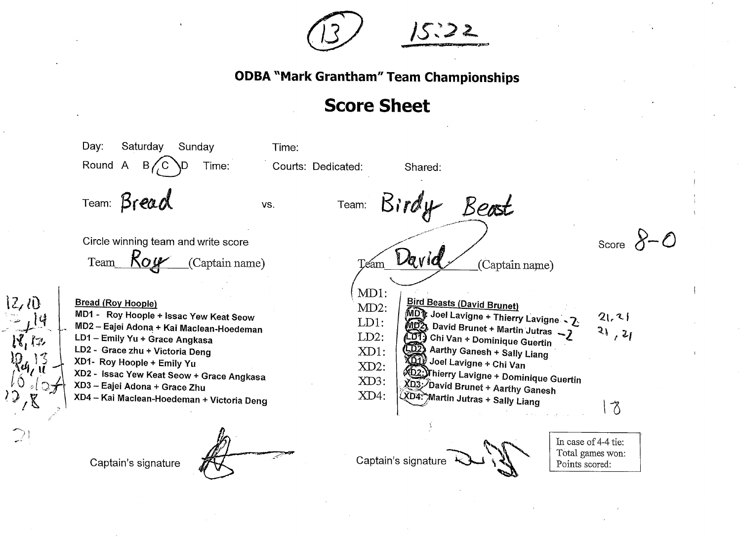

# **Score Sheet**

Day: Saturdav Sunday Time: Round A Time: Courts: Dedicated:  $\mathsf B$ Shared: Team: Bread Birdy Beast Team: VS. Score  $8-0$ Circle winning team and write score David  $Kow$ Team (Captain name) (Captain name) Team MD1: **Bird Beasts (David Brunet) Bread (Roy Hoople)**  $MD2$ : MDT Joel Lavigne + Thierry Lavigne - 2 MD1 - Roy Hoople + Issac Yew Keat Seow  $21.21$  $LD1:$ **MD2** David Brunet + Martin Jutras - 7 MD2 - Eajei Adona + Kai Maclean-Hoedeman  $31, 21$ CDT) Chi Van + Dominique Guertin  $LD2$ : LD1 - Emily Yu + Grace Angkasa Aarthy Ganesh + Sally Liang LD2 - Grace zhu + Victoria Deng  $XD1$ : **XDIV** Joel Lavigne + Chi Van XD1- Roy Hoople + Emily Yu  $XD2$ : **D2:)Thierry Lavigne + Dominique Guertin** XD2 - Issac Yew Keat Seow + Grace Angkasa XD3: XD3: David Brunet + Aarthy Ganesh XD3 - Eajel Adona + Grace Zhu  $XD4$ : XD4: Martin Jutras + Sally Liang XD4 - Kai Maclean-Hoedeman + Victoria Deng  $\delta$ In case of 4-4 tie: Total games won: Captain's signature Captain's signature Points scored:

 $2,0$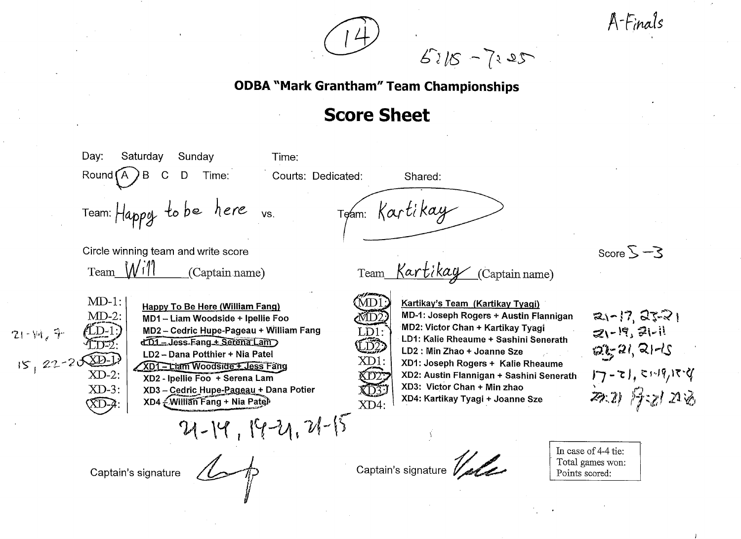$5115 - 7125$ 

A-Finals

Day: Sunday Time: Saturday Round  $(A)$  B  $\mathcal C$ D Time: Courts: Dedicated: Shared: Team: Kartikay Team: Happy to be here vs. Score  $5 - 3$ Circle winning team and write score  $M_1$ Team Kartikay (Captain name) Team (Captain name)  $MD-1$ : VID. Kartikay's Team (Kartikay Tyagi) Happy To Be Here (William Fang)  $21 - 17, 27 - 21$  $MD-2$ : MD-1: Joseph Rogers + Austin Flannigan MD1-Liam Woodside + Ipellie Foo MD2: Victor Chan + Kartikay Tyagi MD2 - Cedric Hupe-Pageau + William Fang  $21 - 19, 31 - 11$  $\mathbf{D}^{\cdot}$  $21 - W_6$  7 LD1: Kalie Rheaume + Sashini Senerath dD1 = Jess-Fang + Serena Lam .ï52  $22, 21, 211$ LD2 : Min Zhao + Joanne Sze LD2 - Dana Potthier + Nia Patel XD1: XD1: Joseph Rogers + Kalie Rheaume XD1 - Liam Woodside + Jess Fang  $17 - 71, 5119, 179$  $XD-2$ XD2: Austin Flannigan + Sashini Senerath XD2 - Ipellie Foo + Serena Lam XD3: Victor Chan + Min zhao  $XD-3$ : XD3 - Cedric Hupe-Pageau + Dana Potier 不要 厚团20 XD4: Kartikay Tyagi + Joanne Sze XD4 - William Fang + Nia Patel  $(\overline{X}D- A)$  $XD4:$  $21 - 14, 14 - 21, 21 - 15$ In case of 4-4 tie: Captain's signature V Total games won: Captain's signature Points scored: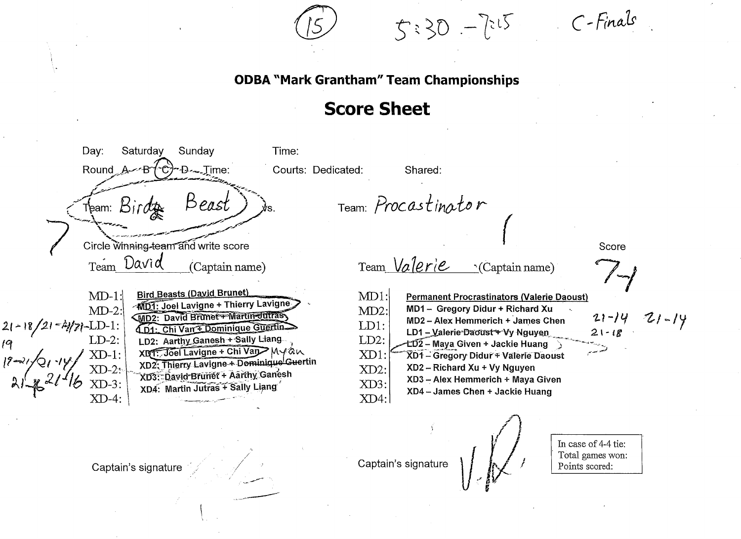$5:30 - 7:15$ 

C-Finals

Day: Saturday Sunday Time:  $\mathcal{C}$  - D  $\sim$  Time: Courts: Dedicated: Round Shared: Beast Team: Procastinator Team: Birdge Circle winning-team and write score Score David Team *Valerie* Team (Captain name) · (Captain name) **Bird Beasts (David Brunet)**  $MD-1$ :  $MD1$ : **Permanent Procrastinators (Valerie Daoust) WD1: Joel Lavigne + Thierry Lavigne**  $MD-2$ : MD1- Gregory Didur + Richard Xu  $MD2$ : MD2: David Brunet+ Martin-Julias  $721 - 14$  $21 - 14$ MD2 - Alex Hemmerich + James Chen  $21 - 18/21 - \frac{\lambda}{2}/2 - L D - 1$ :<br>19<br>LD-2:  $LD1$ : 4D1: Chi Van & Dominique Guertin LD1 - Valerie-Daoust+ Vy Nguyen  $21 - 18$ LD2: Aarthy Ganesh + Sally Liang  $LD2$ : -ĽD҇2 – Maya Given + Jackie Huang ∖ XD1. Joel Lavigne + Chi Van Myan  $XD-1$ : XD1: XD1 - Gregory Didur + Valerie Daoust XD2: Thierry Lavigne + Dominique Guertin XD2 - Richard Xu + Vy Nguyen XD2: XD3: David Brunet + Aarthy Ganesh XD3 - Alex Hemmerich + Maya Given XD3: XD4: Martin Jutras + Sally Liang XD4 - James Chen + Jackie Huang XD4:  $XD-4:$ In case of 4-4 tie: Total games won: Captain's signature Captain's signature Points scored: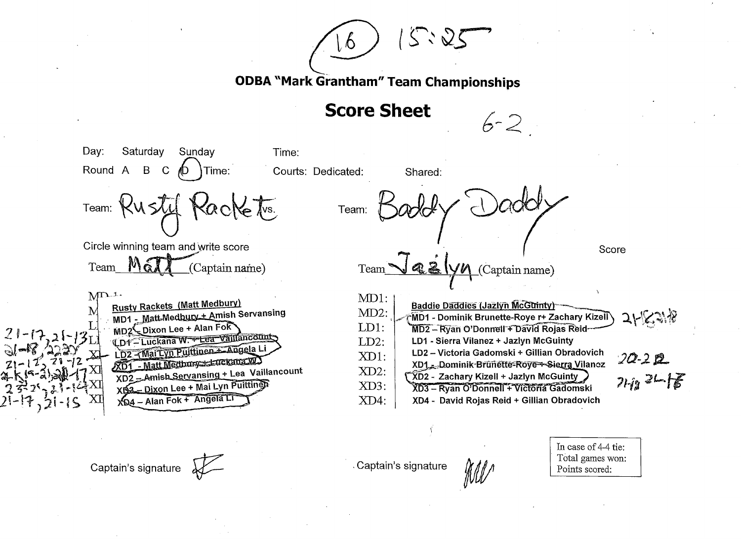$5.25$ 

**Score Sheet** 

Day: Saturday Sundav Time: Round A B  $\mathbf C$ Time: Courts: Dedicated: Shared: Team: KUSTU  $\sqrt{s}$ . Team: Circle winning team and write score Score **M** (Captain name) Team Team (Captain name)  $M^{D-1}$  $MD1:$ **Rusty Rackets (Matt Medbury) Baddle Daddles (Jazlyn McGuinty)** MD1 - Matt Medbury + Amish Servansing  $MD2$ : MD1 - Dominik Brunette-Roye r+ Zachary Kizell  $21538$ MD2<sup>2</sup> Dixon Lee + Alan Fok LD1: MD2 - Ryan O'Donnell + David Rojas Reid-CD4 - Luckana W. + Lea Vaillancount  $LD2:$ LD1 - Sierra Vilanez + Jazlyn McGuinty LD2-{Mai Lyn Puittinen + Angela Li LD2 - Victoria Gadomski + Gillian Obradovich  $XD1$ :  $20 - 20$ XD1 - Matt Medbury :- Euckana WO XD1 \_\_ Dominik-Brunette-Roye-+-Sierra Vilancz XD2 \_\_ Amish Servansing + Lea Vaillancount XD2:  $21 - 18$ XD2 - Zachary Kizell + Jazlyn McGuinty XD3 - Dixon Lee + Mai Lyn Puittings XD3: XD3 - Ryan O'Donnell + Victoria Gadomski XD4 - Alan Fok + Angela Li  $XD4$ : XD4 - David Rojas Reid + Gillian Obradovich

Captain's signature

Captain's signature

 $6 - 2$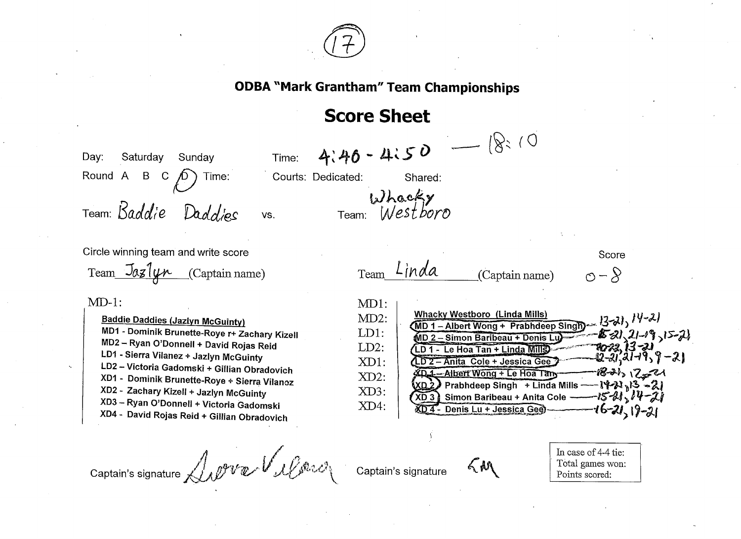

# **Score Sheet**

 $4:40 - 4:50$  -  $(8:10)$ Day: Saturday Sunday Time:  $\sqrt{D}$  Time: Round A B C Courts: Dedicated: Shared: Whacky<br>Team: Westboro Team: Baddie Daddies VS. Circle winning team and write score Score Team Linda Team  $\overline{\text{J}a}$   $\overline{\text{J}a}$  (Captain name)  $\circ$  -  $\circ$ (Captain name)  $MD-1$ :  $MD1:$ **Whacky Westboro (Linda Mills)**  $\underbrace{\text{MD 1 - Albert Wong + Prabhdeep Singh}}_{\text{ADA}}$   $\left(\frac{1}{2} \lambda\right)$ ,  $\left(\frac{1}{2} - \lambda\right)$  $MD2$ : **Baddie Daddies (Jazlyn McGuinty)** MD1 - Dominik Brunette-Roye r+ Zachary Kizell -\$521, 21-19, 15-21<br>- \$522, 13-21<br>- Q-21, 21-19, 9 - 21  $LD1:$ MD 2 - Simon Baribeau + Denis Lu MD2 - Ryan O'Donnell + David Rojas Reid  $LD2:$ LD 1 - Le Hoa Tan + Linda Mills LD1 - Sierra Vilanez + Jazlyn McGuinty  $XD1$ : LD 2 - Anita Cole + Jessica Gee LD2 - Victoria Gadomski + Gillian Obradovich  $-18 - 12 = 11$ XD 1 - Albert Wong + Le Hoa Tany XD1 - Dominik Brunette-Roye + Sierra Vilanoz  $XD2$ : - 1421, 13 ~21  $(xD<sub>2</sub>)$  Prabhdeep Singh + Linda Mills -XD2 - Zachary Kizell + Jazlyn McGuinty XD3: XD 3) Simon Baribeau + Anita Cole  $-15 - 21 - 14 - 21$ XD3 - Ryan O'Donnell + Victoria Gadomski XD4: XD4 - Denis Lu + Jessica Gee)  $16 - 21 - 19 - 21$ XD4 - David Rojas Reid + Gillian Obradovich Captain's signature Labre Vallonce

Captain's signature

 $\zeta$ M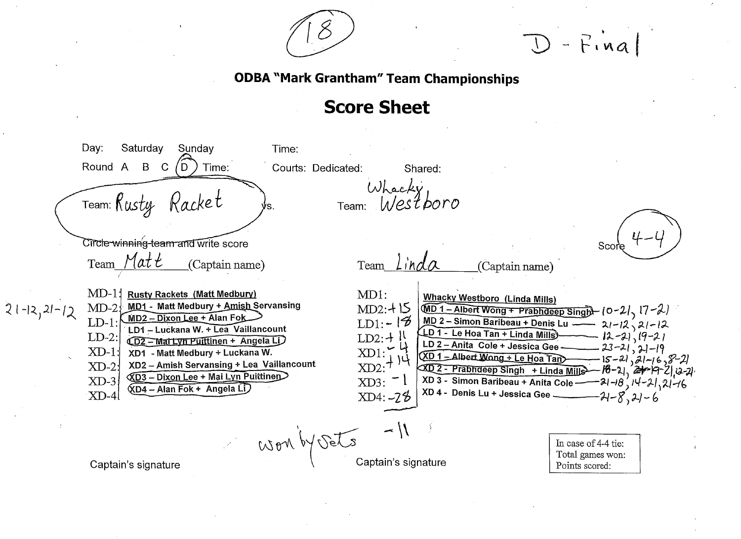

 $D$  - Final

Day: Saturday Sunday Time: Round A B C Time: Courts: Dedicated:  $'D$  . Shared: Whacky<br>Team: Westboro Team: Rusty Racket Circle winning-team and write score Score Team Linda Matt Team (Captain name) (Captain name)  $MD-11$  $MD1:$ **Rusty Rackets (Matt Medbury) Whacky Westboro (Linda Mills)** MD1 - Matt Medbury + Amish Servansing  $MD-2$  $MD2: +15$  $\underbrace{\text{MD 1 - Albert Wong + Prabhdeep Singh}}_{\text{11}}$  (0-2/<sub>2</sub> 17-2)  $21-12, 21-12$ MD 2 - Simon Baribeau + Denis Lu<br>
LD 1 - Le Hoa Tan + Linda Mills<br>
LD 2 - Anita Cole + Jessica Gee<br>
23-21, 21-12<br>
XD 1 - Albert Wong + Le Hoa Tan<br>
XD 2 - Prabhdeep Singh + Linda Mills<br>
XD 2 - Prabhdeep Singh + Linda Mills  $MD2 - Dixon Lee + Alan Fok$  $LD1 - 12$  $LD-1$ : LD1 - Luckana W. + Lea Vaillancount  $LD-2$ : LD2: $+$ !! **CD2-Martyn Puittinen + Angela LD**  $\frac{252.7}{2} + 14$ <br> $\frac{11}{14}$  $XD-1$ : XD1 - Matt Medbury + Luckana W. XD2 - Amish Servansing + Lea Vaillancount  $XD-2$ **KD3** - Dixon Lee + Mai Lyn Puittinen  $XD-3$  $XD3:$ **KD4 - Alan Fok + Angela Li** XD 4 - Denis Lu + Jessica Gee - $XD-4$  $XD4: -28$  $-21-8,21-6$ Work by Sets In case of 4-4 tie: Total games won: Captain's signature Captain's signature Points scored: